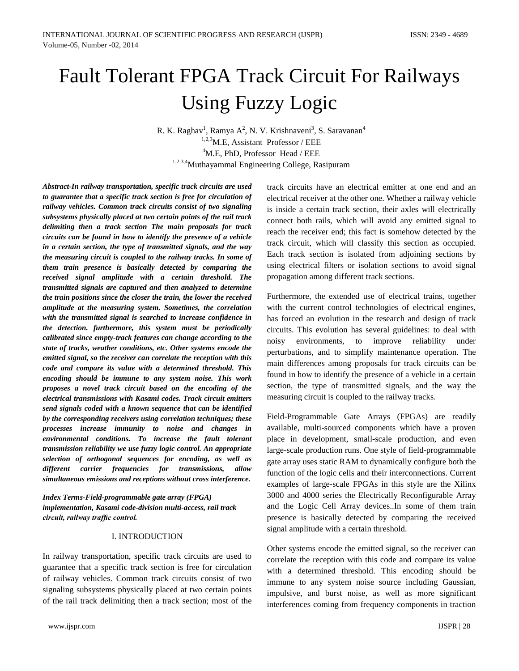# Fault Tolerant FPGA Track Circuit For Railways Using Fuzzy Logic

R. K. Raghav<sup>1</sup>, Ramya A<sup>2</sup>, N. V. Krishnaveni<sup>3</sup>, S. Saravanan<sup>4</sup>  $1,2,3$ M.E. Assistant Professor / EEE  $4^4$ M.E, PhD, Professor Head / EEE 1,2,3,4Muthayammal Engineering College, Rasipuram

*Abstract-In railway transportation, specific track circuits are used to guarantee that a specific track section is free for circulation of railway vehicles. Common track circuits consist of two signaling subsystems physically placed at two certain points of the rail track delimiting then a track section The main proposals for track circuits can be found in how to identify the presence of a vehicle in a certain section, the type of transmitted signals, and the way the measuring circuit is coupled to the railway tracks. In some of them train presence is basically detected by comparing the received signal amplitude with a certain threshold. The transmitted signals are captured and then analyzed to determine the train positions since the closer the train, the lower the received amplitude at the measuring system. Sometimes, the correlation with the transmitted signal is searched to increase confidence in the detection. furthermore, this system must be periodically calibrated since empty-track features can change according to the state of tracks, weather conditions, etc. Other systems encode the emitted signal, so the receiver can correlate the reception with this code and compare its value with a determined threshold. This encoding should be immune to any system noise. This work proposes a novel track circuit based on the encoding of the electrical transmissions with Kasami codes. Track circuit emitters send signals coded with a known sequence that can be identified by the corresponding receivers using correlation techniques; these processes increase immunity to noise and changes in environmental conditions. To increase the fault tolerant transmission reliability we use fuzzy logic control. An appropriate selection of orthogonal sequences for encoding, as well as different carrier frequencies for transmissions, allow simultaneous emissions and receptions without cross interference.*

# *Index Terms-Field-programmable gate array (FPGA) implementation, Kasami code-division multi-access, rail track circuit, railway traffic control.*

## I. INTRODUCTION

In railway transportation, specific track circuits are used to guarantee that a specific track section is free for circulation of railway vehicles. Common track circuits consist of two signaling subsystems physically placed at two certain points of the rail track delimiting then a track section; most of the track circuits have an electrical emitter at one end and an electrical receiver at the other one. Whether a railway vehicle is inside a certain track section, their axles will electrically connect both rails, which will avoid any emitted signal to reach the receiver end; this fact is somehow detected by the track circuit, which will classify this section as occupied. Each track section is isolated from adjoining sections by using electrical filters or isolation sections to avoid signal propagation among different track sections.

Furthermore, the extended use of electrical trains, together with the current control technologies of electrical engines, has forced an evolution in the research and design of track circuits. This evolution has several guidelines: to deal with noisy environments, to improve reliability under perturbations, and to simplify maintenance operation. The main differences among proposals for track circuits can be found in how to identify the presence of a vehicle in a certain section, the type of transmitted signals, and the way the measuring circuit is coupled to the railway tracks.

Field-Programmable Gate Arrays (FPGAs) are readily available, multi-sourced components which have a proven place in development, small-scale production, and even large-scale production runs. One style of field-programmable gate array uses static RAM to dynamically configure both the function of the logic cells and their interconnections. Current examples of large-scale FPGAs in this style are the Xilinx 3000 and 4000 series the Electrically Reconfigurable Array and the Logic Cell Array devices..In some of them train presence is basically detected by comparing the received signal amplitude with a certain threshold.

Other systems encode the emitted signal, so the receiver can correlate the reception with this code and compare its value with a determined threshold. This encoding should be immune to any system noise source including Gaussian, impulsive, and burst noise, as well as more significant interferences coming from frequency components in traction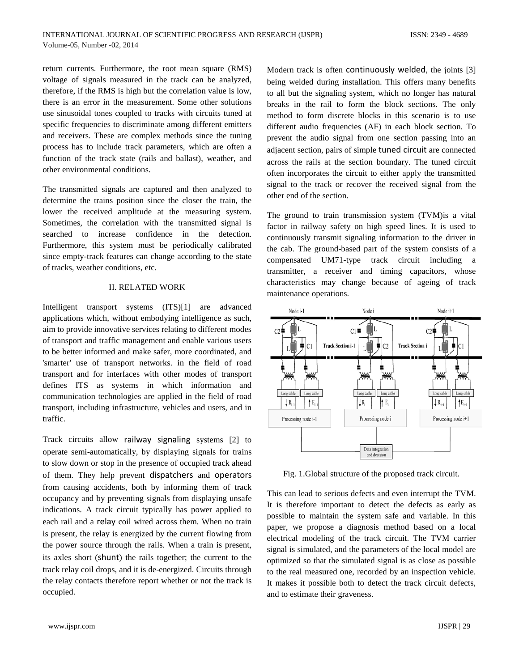return currents. Furthermore, the root mean square (RMS) voltage of signals measured in the track can be analyzed, therefore, if the RMS is high but the correlation value is low, there is an error in the measurement. Some other solutions use sinusoidal tones coupled to tracks with circuits tuned at specific frequencies to discriminate among different emitters and receivers. These are complex methods since the tuning process has to include track parameters, which are often a function of the track state (rails and ballast), weather, and other environmental conditions.

The transmitted signals are captured and then analyzed to determine the trains position since the closer the train, the lower the received amplitude at the measuring system. Sometimes, the correlation with the transmitted signal is searched to increase confidence in the detection. Furthermore, this system must be periodically calibrated since empty-track features can change according to the state of tracks, weather conditions, etc.

## II. RELATED WORK

Intelligent transport systems (ITS)[1] are advanced applications which, without embodying intelligence as such, aim to provide innovative services relating to different modes of transport and traffic management and enable various users to be better informed and make safer, more coordinated, and 'smarter' use of transport networks. in the field of road transport and for interfaces with other modes of transport defines ITS as systems in which information and communication technologies are applied in the field of road transport, including infrastructure, vehicles and users, and in traffic.

Track circuits allow [railway signaling](http://en.wikipedia.org/wiki/Railway_signalling) systems [2] to operate semi-automatically, by displaying signals for trains to slow down or stop in the presence of occupied track ahead of them. They help prevent [dispatchers](http://en.wikipedia.org/wiki/Train_dispatcher) and [operators](http://en.wikipedia.org/wiki/North_American_railway_signaling%23Absolute_or_manual_block) from causing accidents, both by informing them of track occupancy and by preventing signals from displaying unsafe indications. A track circuit typically has power applied to each rail and a [relay](http://en.wikipedia.org/wiki/Relay) coil wired across them. When no train is present, the relay is energized by the current flowing from the power source through the rails. When a train is present, its axles short ([shunt](http://en.wikipedia.org/wiki/Shunt_%28electrical%29)) the rails together; the current to the track relay coil drops, and it is de-energized. Circuits through the relay contacts therefore report whether or not the track is occupied.

Modern track is often [continuously welded](http://en.wikipedia.org/wiki/Continuous_welded_rail), the joints [3] being welded during installation. This offers many benefits to all but the signaling system, which no longer has natural breaks in the rail to form the block sections. The only method to form discrete blocks in this scenario is to use different audio frequencies (AF) in each block section. To prevent the audio signal from one section passing into an adjacent section, pairs of simple [tuned circuit](http://en.wikipedia.org/wiki/Tuned_circuit) are connected across the rails at the section boundary. The tuned circuit often incorporates the circuit to either apply the transmitted signal to the track or recover the received signal from the other end of the section.

The ground to train transmission system (TVM)is a vital factor in railway safety on high speed lines. It is used to continuously transmit signaling information to the driver in the cab. The ground-based part of the system consists of a compensated UM71-type track circuit including a transmitter, a receiver and timing capacitors, whose characteristics may change because of ageing of track maintenance operations.



Fig. 1.Global structure of the proposed track circuit.

This can lead to serious defects and even interrupt the TVM. It is therefore important to detect the defects as early as possible to maintain the system safe and variable. In this paper, we propose a diagnosis method based on a local electrical modeling of the track circuit. The TVM carrier signal is simulated, and the parameters of the local model are optimized so that the simulated signal is as close as possible to the real measured one, recorded by an inspection vehicle. It makes it possible both to detect the track circuit defects, and to estimate their graveness.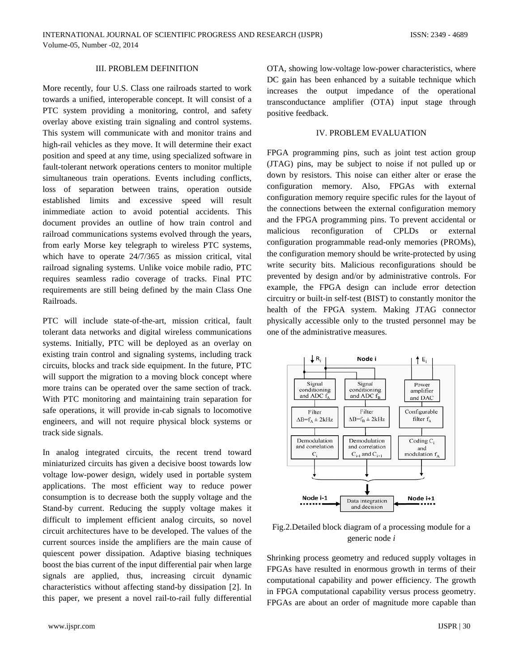## III. PROBLEM DEFINITION

More recently, four U.S. Class one railroads started to work towards a unified, interoperable concept. It will consist of a PTC system providing a monitoring, control, and safety overlay above existing train signaling and control systems. This system will communicate with and monitor trains and high-rail vehicles as they move. It will determine their exact position and speed at any time, using specialized software in fault-tolerant network operations centers to monitor multiple simultaneous train operations. Events including conflicts, loss of separation between trains, operation outside established limits and excessive speed will result inimmediate action to avoid potential accidents. This document provides an outline of how train control and railroad communications systems evolved through the years, from early Morse key telegraph to wireless PTC systems, which have to operate 24/7/365 as mission critical, vital railroad signaling systems. Unlike voice mobile radio, PTC requires seamless radio coverage of tracks. Final PTC requirements are still being defined by the main Class One Railroads.

PTC will include state-of-the-art, mission critical, fault tolerant data networks and digital wireless communications systems. Initially, PTC will be deployed as an overlay on existing train control and signaling systems, including track circuits, blocks and track side equipment. In the future, PTC will support the migration to a moving block concept where more trains can be operated over the same section of track. With PTC monitoring and maintaining train separation for safe operations, it will provide in-cab signals to locomotive engineers, and will not require physical block systems or track side signals.

In analog integrated circuits, the recent trend toward miniaturized circuits has given a decisive boost towards low voltage low-power design, widely used in portable system applications. The most efficient way to reduce power consumption is to decrease both the supply voltage and the Stand-by current. Reducing the supply voltage makes it difficult to implement efficient analog circuits, so novel circuit architectures have to be developed. The values of the current sources inside the amplifiers are the main cause of quiescent power dissipation. Adaptive biasing techniques boost the bias current of the input differential pair when large signals are applied, thus, increasing circuit dynamic characteristics without affecting stand-by dissipation [2]. In this paper, we present a novel rail-to-rail fully differential

OTA, showing low-voltage low-power characteristics, where DC gain has been enhanced by a suitable technique which increases the output impedance of the operational transconductance amplifier (OTA) input stage through positive feedback.

#### IV. PROBLEM EVALUATION

FPGA programming pins, such as joint test action group (JTAG) pins, may be subject to noise if not pulled up or down by resistors. This noise can either alter or erase the configuration memory. Also, FPGAs with external configuration memory require specific rules for the layout of the connections between the external configuration memory and the FPGA programming pins. To prevent accidental or malicious reconfiguration of CPLDs or external configuration programmable read-only memories (PROMs), the configuration memory should be write-protected by using write security bits. Malicious reconfigurations should be prevented by design and/or by administrative controls. For example, the FPGA design can include error detection circuitry or built-in self-test (BIST) to constantly monitor the health of the FPGA system. Making JTAG connector physically accessible only to the trusted personnel may be one of the administrative measures.



Fig.2.Detailed block diagram of a processing module for a generic node *i* 

Shrinking process geometry and reduced supply voltages in FPGAs have resulted in enormous growth in terms of their computational capability and power efficiency. The growth in FPGA computational capability versus process geometry. FPGAs are about an order of magnitude more capable than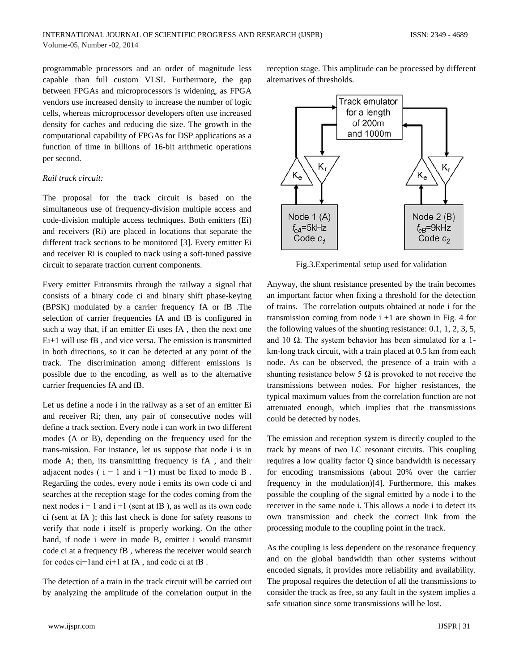programmable processors and an order of magnitude less capable than full custom VLSI. Furthermore, the gap between FPGAs and microprocessors is widening, as FPGA vendors use increased density to increase the number of logic cells, whereas microprocessor developers often use increased density for caches and reducing die size. The growth in the computational capability of FPGAs for DSP applications as a function of time in billions of 16-bit arithmetic operations per second.

## *Rail track circuit:*

The proposal for the track circuit is based on the simultaneous use of frequency-division multiple access and code-division multiple access techniques. Both emitters (Ei) and receivers (Ri) are placed in locations that separate the different track sections to be monitored [3]. Every emitter Ei and receiver Ri is coupled to track using a soft-tuned passive circuit to separate traction current components.

Every emitter Eitransmits through the railway a signal that consists of a binary code ci and binary shift phase-keying (BPSK) modulated by a carrier frequency fA or fB .The selection of carrier frequencies fA and fB is configured in such a way that, if an emitter Ei uses fA , then the next one Ei+1 will use fB , and vice versa. The emission is transmitted in both directions, so it can be detected at any point of the track. The discrimination among different emissions is possible due to the encoding, as well as to the alternative carrier frequencies fA and fB.

Let us define a node i in the railway as a set of an emitter Ei and receiver Ri; then, any pair of consecutive nodes will define a track section. Every node i can work in two different modes (A or B), depending on the frequency used for the trans-mission. For instance, let us suppose that node i is in mode A; then, its transmitting frequency is fA , and their adjacent nodes ( $i - 1$  and  $i + 1$ ) must be fixed to mode B. Regarding the codes, every node i emits its own code ci and searches at the reception stage for the codes coming from the next nodes  $i - 1$  and  $i + 1$  (sent at fB), as well as its own code ci (sent at fA ); this last check is done for safety reasons to verify that node i itself is properly working. On the other hand, if node i were in mode B, emitter i would transmit code ci at a frequency fB , whereas the receiver would search for codes ci−1and ci+1 at fA , and code ci at fB .

The detection of a train in the track circuit will be carried out by analyzing the amplitude of the correlation output in the reception stage. This amplitude can be processed by different alternatives of thresholds.



Fig.3.Experimental setup used for validation

Anyway, the shunt resistance presented by the train becomes an important factor when fixing a threshold for the detection of trains. The correlation outputs obtained at node i for the transmission coming from node  $i + 1$  are shown in Fig. 4 for the following values of the shunting resistance: 0.1, 1, 2, 3, 5, and 10  $Ω$ . The system behavior has been simulated for a 1km-long track circuit, with a train placed at 0.5 km from each node. As can be observed, the presence of a train with a shunting resistance below 5  $\Omega$  is provoked to not receive the transmissions between nodes. For higher resistances, the typical maximum values from the correlation function are not attenuated enough, which implies that the transmissions could be detected by nodes.

The emission and reception system is directly coupled to the track by means of two LC resonant circuits. This coupling requires a low quality factor Q since bandwidth is necessary for encoding transmissions (about 20% over the carrier frequency in the modulation)[4]. Furthermore, this makes possible the coupling of the signal emitted by a node i to the receiver in the same node i. This allows a node i to detect its own transmission and check the correct link from the processing module to the coupling point in the track.

As the coupling is less dependent on the resonance frequency and on the global bandwidth than other systems without encoded signals, it provides more reliability and availability. The proposal requires the detection of all the transmissions to consider the track as free, so any fault in the system implies a safe situation since some transmissions will be lost.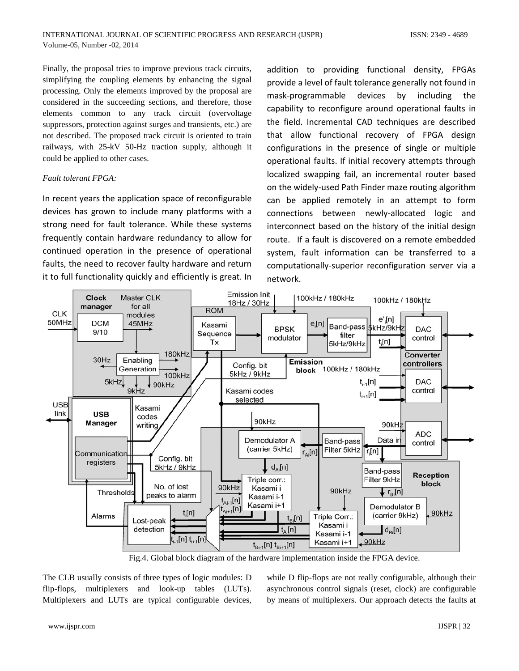Finally, the proposal tries to improve previous track circuits, simplifying the coupling elements by enhancing the signal processing. Only the elements improved by the proposal are considered in the succeeding sections, and therefore, those elements common to any track circuit (overvoltage suppressors, protection against surges and transients, etc.) are not described. The proposed track circuit is oriented to train railways, with 25-kV 50-Hz traction supply, although it could be applied to other cases.

# *Fault tolerant FPGA:*

In recent years the application space of reconfigurable devices has grown to include many platforms with a strong need for fault tolerance. While these systems frequently contain hardware redundancy to allow for continued operation in the presence of operational faults, the need to recover faulty hardware and return it to full functionality quickly and efficiently is great. In

addition to providing functional density, FPGAs provide a level of fault tolerance generally not found in mask-programmable devices by including the capability to reconfigure around operational faults in the field. Incremental CAD techniques are described that allow functional recovery of FPGA design configurations in the presence of single or multiple operational faults. If initial recovery attempts through localized swapping fail, an incremental router based on the widely-used Path Finder maze routing algorithm can be applied remotely in an attempt to form connections between newly-allocated logic and interconnect based on the history of the initial design route. If a fault is discovered on a remote embedded system, fault information can be transferred to a computationally-superior reconfiguration server via a network.



Fig.4. Global block diagram of the hardware implementation inside the FPGA device.

The CLB usually consists of three types of logic modules: D flip-flops, multiplexers and look-up tables (LUTs). Multiplexers and LUTs are typical configurable devices,

while D flip-flops are not really configurable, although their asynchronous control signals (reset, clock) are configurable by means of multiplexers. Our approach detects the faults at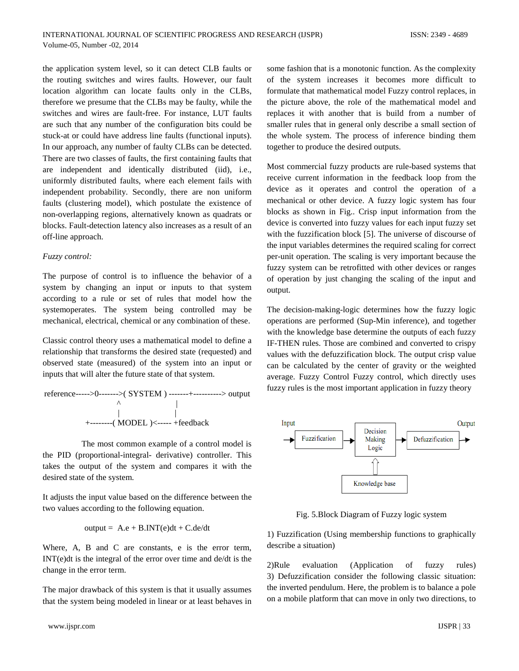the application system level, so it can detect CLB faults or the routing switches and wires faults. However, our fault location algorithm can locate faults only in the CLBs, therefore we presume that the CLBs may be faulty, while the switches and wires are fault-free. For instance, LUT faults are such that any number of the configuration bits could be stuck-at or could have address line faults (functional inputs). In our approach, any number of faulty CLBs can be detected. There are two classes of faults, the first containing faults that are independent and identically distributed (iid), i.e., uniformly distributed faults, where each element fails with independent probability. Secondly, there are non uniform faults (clustering model), which postulate the existence of non-overlapping regions, alternatively known as quadrats or blocks. Fault-detection latency also increases as a result of an off-line approach.

#### *Fuzzy control:*

The purpose of control is to influence the behavior of a system by changing an input or inputs to that system according to a rule or set of rules that model how the systemoperates. The system being controlled may be mechanical, electrical, chemical or any combination of these.

Classic control theory uses a mathematical model to define a relationship that transforms the desired state (requested) and observed state (measured) of the system into an input or inputs that will alter the future state of that system.

reference----->0------->( SYSTEM ) -------+----------> output ^ | | | +--------( MODEL )<----- +feedback

The most common example of a control model is the PID (proportional-integral- derivative) controller. This takes the output of the system and compares it with the desired state of the system.

It adjusts the input value based on the difference between the two values according to the following equation.

$$
output = A.e + B. INT(e)dt + C.de/dt
$$

Where, A, B and C are constants, e is the error term, INT(e)dt is the integral of the error over time and de/dt is the change in the error term.

The major drawback of this system is that it usually assumes that the system being modeled in linear or at least behaves in some fashion that is a monotonic function. As the complexity of the system increases it becomes more difficult to formulate that mathematical model Fuzzy control replaces, in the picture above, the role of the mathematical model and replaces it with another that is build from a number of smaller rules that in general only describe a small section of the whole system. The process of inference binding them together to produce the desired outputs.

Most commercial fuzzy products are rule-based systems that receive current information in the feedback loop from the device as it operates and control the operation of a mechanical or other device. A fuzzy logic system has four blocks as shown in Fig.. Crisp input information from the device is converted into fuzzy values for each input fuzzy set with the fuzzification block [5]. The universe of discourse of the input variables determines the required scaling for correct per-unit operation. The scaling is very important because the fuzzy system can be retrofitted with other devices or ranges of operation by just changing the scaling of the input and output.

The decision-making-logic determines how the fuzzy logic operations are performed (Sup-Min inference), and together with the knowledge base determine the outputs of each fuzzy IF-THEN rules. Those are combined and converted to crispy values with the defuzzification block. The output crisp value can be calculated by the center of gravity or the weighted average. Fuzzy Control Fuzzy control, which directly uses fuzzy rules is the most important application in fuzzy theory



Fig. 5.Block Diagram of Fuzzy logic system

1) Fuzzification (Using membership functions to graphically describe a situation)

2)Rule evaluation (Application of fuzzy rules) 3) Defuzzification consider the following classic situation: the inverted pendulum. Here, the problem is to balance a pole on a mobile platform that can move in only two directions, to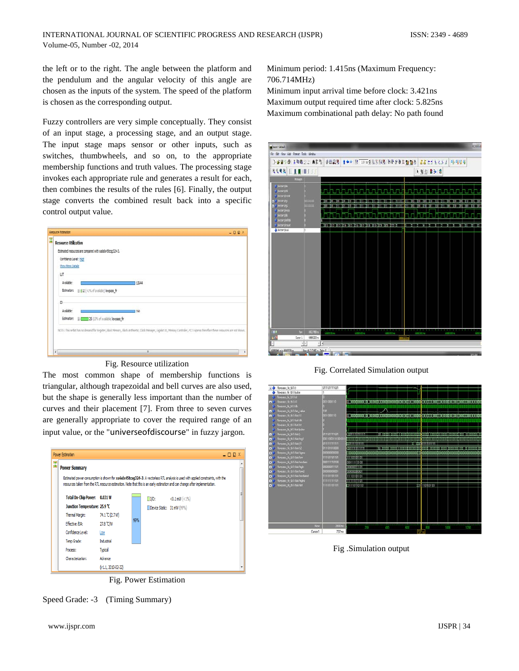the left or to the right. The angle between the platform and the pendulum and the angular velocity of this angle are chosen as the inputs of the system. The speed of the platform is chosen as the corresponding output.

Fuzzy controllers are very simple conceptually. They consist of an input stage, a processing stage, and an output stage. The input stage maps sensor or other inputs, such as switches, thumbwheels, and so on, to the appropriate membership functions and truth values. The processing stage invokes each appropriate rule and generates a result for each, then combines the results of the rules [6]. Finally, the output stage converts the combined result back into a specific control output value.

|    | Retaura Folimation                                                                                                                                                                  | $-$ <b>DD</b> $X$ |
|----|-------------------------------------------------------------------------------------------------------------------------------------------------------------------------------------|-------------------|
| 開開 | <b>Resource Utilization</b>                                                                                                                                                         |                   |
|    | Estimated resources are compared with xa6skv45tcsg324-3.                                                                                                                            |                   |
|    | Confidence Level: High                                                                                                                                                              |                   |
|    | Show More Detais                                                                                                                                                                    |                   |
|    | Ш                                                                                                                                                                                   |                   |
|    | Avaiable:<br>13644                                                                                                                                                                  |                   |
|    | Estimation: @   12 (<1% of available) lowpass_fir                                                                                                                                   |                   |
|    | 10                                                                                                                                                                                  |                   |
|    | Available:<br>190                                                                                                                                                                   |                   |
|    | Estimation: @ 25 (13% of available) lowpass fir                                                                                                                                     |                   |
|    | NOTE: This netlist has no demand for Register, Block Memory, Block Anthrestic, Llock Manager, Gigabit I.O., Memory Controller, PCT Express therefore these recourses are not shown. |                   |
|    |                                                                                                                                                                                     |                   |
|    | n                                                                                                                                                                                   |                   |
|    | ¥                                                                                                                                                                                   |                   |

## Fig. Resource utilization

The most common shape of membership functions is triangular, although trapezoidal and bell curves are also used, but the shape is generally less important than the number of curves and their placement [7]. From three to seven curves are generally appropriate to cover the required range of an input value, or the "[universeofdiscourse](http://en.wikipedia.org/wiki/Universe_of_discourse)" in fuzzy jargon.



Fig. Power Estimation

Speed Grade: -3 (Timing Summary)

Minimum period: 1.415ns (Maximum Frequency: 706.714MHz)

Minimum input arrival time before clock: 3.421ns Maximum output required time after clock: 5.825ns Maximum combinational path delay: No path found



Fig. Correlated Simulation output



Fig .Simulation output